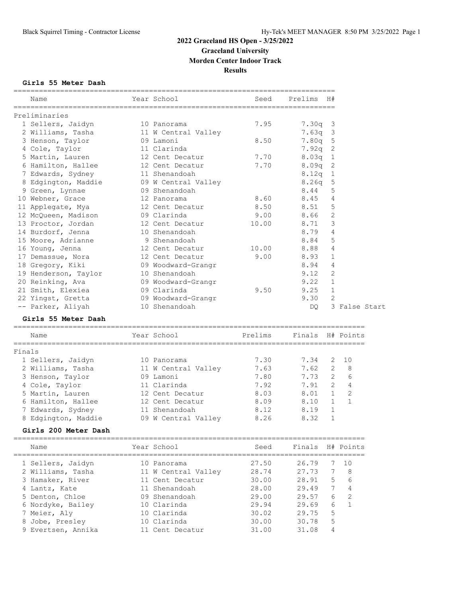#### **Results**

## **Girls 55 Meter Dash**

|        | Name                                 | Year School         | Seed    | Prelims          | H#             |                |  |
|--------|--------------------------------------|---------------------|---------|------------------|----------------|----------------|--|
|        | Preliminaries                        |                     |         |                  |                |                |  |
|        | 1 Sellers, Jaidyn                    | 10 Panorama         | 7.95    | 7.30q            | 3              |                |  |
|        | 2 Williams, Tasha                    | 11 W Central Valley |         | 7.63q            | $\mathsf 3$    |                |  |
|        | 3 Henson, Taylor                     | 09 Lamoni           | 8.50    | 7.80q            | 5              |                |  |
|        | 4 Cole, Taylor                       | 11 Clarinda         |         | 7.92q            | $\mathbf{2}$   |                |  |
|        | 5 Martin, Lauren                     | 12 Cent Decatur     | 7.70    | 8.03q            | $\mathbf{1}$   |                |  |
|        | 6 Hamilton, Hallee                   | 12 Cent Decatur     | 7.70    | 8.09q            | 2              |                |  |
|        | 7 Edwards, Sydney                    | 11 Shenandoah       |         | 8.12q            | 1              |                |  |
|        | 8 Edgington, Maddie                  | 09 W Central Valley |         | 8.26q            | 5              |                |  |
|        | 9 Green, Lynnae                      | 09 Shenandoah       |         | 8.44             | 5              |                |  |
|        | 10 Webner, Grace                     | 12 Panorama         | 8.60    | 8.45             | 4              |                |  |
|        | 11 Applegate, Mya                    | 12 Cent Decatur     | 8.50    | 8.51             | 5              |                |  |
|        | 12 McQueen, Madison                  | 09 Clarinda         | 9.00    | 8.66             | 2              |                |  |
|        | 13 Proctor, Jordan                   | 12 Cent Decatur     | 10.00   | 8.71             | 3              |                |  |
|        | 14 Burdorf, Jenna                    | 10 Shenandoah       |         | 8.79             | 4              |                |  |
|        | 15 Moore, Adrianne                   | 9 Shenandoah        |         | 8.84             | 5              |                |  |
|        | 16 Young, Jenna                      | 12 Cent Decatur     | 10.00   | 8.88             | 4              |                |  |
|        | 17 Demassue, Nora                    | 12 Cent Decatur     | 9.00    | 8.93             | $\mathbf{1}$   |                |  |
|        | 18 Gregory, Kiki                     | 09 Woodward-Grangr  |         | 8.94             | 4              |                |  |
|        | 19 Henderson, Taylor                 | 10 Shenandoah       |         | 9.12             | 2              |                |  |
|        | 20 Reinking, Ava                     | 09 Woodward-Grangr  |         | 9.22             | $\mathbf{1}$   |                |  |
|        | 21 Smith, Elexiea                    | 09 Clarinda         | 9.50    | 9.25             | $\mathbf{1}$   |                |  |
|        | 22 Yingst, Gretta                    | 09 Woodward-Grangr  |         | 9.30             | $\mathfrak{D}$ |                |  |
|        | -- Parker, Aliyah                    | 10 Shenandoah       |         | DO               |                | 3 False Start  |  |
|        | Girls 55 Meter Dash                  |                     |         |                  |                |                |  |
|        | Name                                 | Year School         | Prelims | Finals H# Points |                |                |  |
| Finals |                                      |                     |         |                  |                |                |  |
|        | 1 Sellers, Jaidyn                    | 10 Panorama         | 7.30    | 7.34             | 2              | 10             |  |
|        | 2 Williams, Tasha                    | 11 W Central Valley | 7.63    | 7.62             | 2              | 8              |  |
|        | 3 Henson, Taylor                     | 09 Lamoni           | 7.80    | 7.73             | 2              | 6              |  |
|        | 4 Cole, Taylor                       | 11 Clarinda         | 7.92    | 7.91             | $\overline{2}$ | $\overline{4}$ |  |
|        | 5 Martin, Lauren                     | 12 Cent Decatur     | 8.03    | 8.01             | $\mathbf{1}$   | 2              |  |
|        | 6 Hamilton, Hallee                   | 12 Cent Decatur     | 8.09    | 8.10             | $\mathbf{1}$   | $\mathbf{1}$   |  |
|        | 7 Edwards, Sydney                    | 11 Shenandoah       | 8.12    | 8.19             | $\mathbf 1$    |                |  |
|        | 8 Edgington, Maddie                  | 09 W Central Valley | 8.26    | 8.32             | $\mathbf 1$    |                |  |
|        | Girls 200 Meter Dash                 |                     |         |                  |                |                |  |
|        | Name                                 | Year School         | Seed    | Finals           |                | H# Points      |  |
|        | ===============<br>1 Sellers, Jaidyn | 10 Panorama         | 27.50   | 26.79            | 7              | 10             |  |
|        | 2 Williams, Tasha                    | 11 W Central Valley | 28.74   | 27.73            | 7              | 8              |  |
|        | 3 Hamaker, River                     | 11 Cent Decatur     | 30.00   | 28.91            | 5              | 6              |  |
|        | 4 Lantz, Kate                        | 11 Shenandoah       | 28.00   | 29.49            | 7              | 4              |  |
|        | 5 Denton, Chloe                      | 09 Shenandoah       | 29.00   | 29.57            | 6              | 2              |  |
|        | 6 Nordyke, Bailey                    | 10 Clarinda         | 29.94   | 29.69            | 6              | $\mathbf{1}$   |  |
|        | 7 Meier, Aly                         | 10 Clarinda         | 30.02   | 29.75            | 5              |                |  |
|        | 8 Jobe, Presley                      | 10 Clarinda         | 30.00   | 30.78            | 5              |                |  |
|        | 9 Evertsen, Annika                   | 11 Cent Decatur     | 31.00   | 31.08            | 4              |                |  |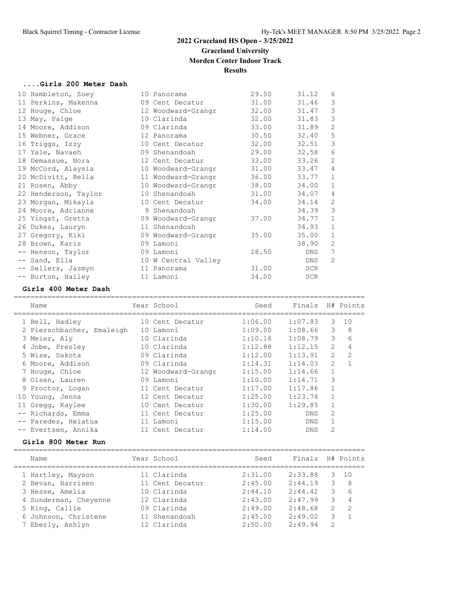## **Results**

#### **....Girls 200 Meter Dash**

| 10 Hambleton, Zoey   | 10 Panorama         | 29.50 | 31.12      | 6              |
|----------------------|---------------------|-------|------------|----------------|
| 11 Perkins, Makenna  | 09 Cent Decatur     | 31.00 | 31.46      | 3              |
| 12 Houge, Chloe      | 12 Woodward-Grangr  | 32.00 | 31.47      | 3              |
| 13 May, Paige        | 10 Clarinda         | 32.00 | 31.83      | 3              |
| 14 Moore, Addison    | 09 Clarinda         | 33.00 | 31.89      | $\overline{2}$ |
| 15 Webner, Grace     | 12 Panorama         | 30.50 | 32.40      | 5              |
| 16 Triggs, Izzy      | 10 Cent Decatur     | 32.00 | 32.51      | 3              |
| 17 Yale, Navaeh      | 09 Shenandoah       | 29.00 | 32.58      | 6              |
| 18 Demassue, Nora    | 12 Cent Decatur     | 33.00 | 33.26      | $\overline{2}$ |
| 19 McCord, Alaysia   | 10 Woodward-Grangr  | 31.00 | 33.47      | $\overline{4}$ |
| 20 McDivitt, Bella   | 11 Woodward-Grangr  | 36.00 | 33.77      | $\mathbf{1}$   |
| 21 Rosen, Abby       | 10 Woodward-Grangr  | 38.00 | 34.00      | $\mathbf{1}$   |
| 22 Henderson, Taylor | 10 Shenandoah       | 31.00 | 34.07      | 4              |
| 23 Morgan, Mikayla   | 10 Cent Decatur     | 34.00 | 34.14      | 2              |
| 24 Moore, Adrianne   | 9 Shenandoah        |       | 34.39      | 3              |
| 25 Yingst, Gretta    | 09 Woodward-Grangr  | 37.00 | 34.77      | 1              |
| 26 Dukes, Lauryn     | 11 Shenandoah       |       | 34.93      | $\mathbf 1$    |
| 27 Gregory, Kiki     | 09 Woodward-Grangr  | 35.00 | 35.00      | $\mathbf{1}$   |
| 28 Brown, Karis      | 09 Lamoni           |       | 38.90      | $\overline{2}$ |
| -- Henson, Taylor    | 09 Lamoni           | 28.50 | DNS        | 7              |
| -- Sand, Ella        | 10 W Central Valley |       | DNS        | $\mathcal{L}$  |
| -- Sellers, Jazmyn   | 11 Panorama         | 31.00 | SCR        |                |
| -- Burton, Hailey    | 11 Lamoni           | 34.00 | <b>SCR</b> |                |

### **Girls 400 Meter Dash**

| Name                      | Year School        | Seed    | Finals H# Points |                |                |
|---------------------------|--------------------|---------|------------------|----------------|----------------|
| 1 Bell, Hadley            | 10 Cent Decatur    | 1:06.00 | 1:07.83          | 3              | 10             |
| 2 Pierschbacher, Emaleigh | 10 Lamoni          | 1:09.00 | 1:08.66          | 3              | 8              |
| 3 Meier, Aly              | 10 Clarinda        | 1:10.16 | 1:08.79          | 3              | 6              |
| 4 Jobe, Presley           | 10 Clarinda        | 1:12.88 | 1:12.15          | 2              | 4              |
| 5 Wise, Dakota            | 09 Clarinda        | 1:12.00 | 1:13.91          | $\overline{2}$ | $\overline{c}$ |
| 6 Moore, Addison          | 09 Clarinda        | 1:14.31 | 1:14.03          | $\overline{2}$ | $\mathbf{1}$   |
| 7 Houge, Chloe            | 12 Woodward-Grangr | 1:15.00 | 1:14.66          | $\mathbf{1}$   |                |
| 8 Olsen, Lauren           | 09 Lamoni          | 1:10.00 | 1:14.71          | 3              |                |
| 9 Proctor, Logan          | 11 Cent Decatur    | 1:17.00 | 1:17.86          | $\mathbf{1}$   |                |
| 10 Young, Jenna           | 12 Cent Decatur    | 1:25.00 | 1:23.74          | $\mathbf{1}$   |                |
| 11 Gregg, Kaylee          | 10 Cent Decatur    | 1:30.00 | 1:29.85          | $\mathbf{1}$   |                |
| -- Richards, Emma         | 11 Cent Decatur    | 1:25.00 | <b>DNS</b>       | $\mathcal{L}$  |                |
| -- Paredes, Heiatua       | 11 Lamoni          | 1:15.00 | DNS              | $\mathbf{1}$   |                |
| -- Evertsen, Annika       | 11 Cent Decatur    | 1:14.00 | <b>DNS</b>       | 2              |                |
| Girls 800 Meter Run       |                    |         |                  |                |                |

| Name                  | Year School     | Seed    | Finals  |               | H# Points      |
|-----------------------|-----------------|---------|---------|---------------|----------------|
| 1 Hartley, Mayson     | 11 Clarinda     | 2:31.00 | 2:33.88 | 3             | 10             |
| 2 Bevan, Harrisen     | 11 Cent Decatur | 2:45.00 | 2:44.19 | 3             | -8             |
| 3 Hesse, Amelia       | 10 Clarinda     | 2:44.10 | 2:44.42 | 3             | 6              |
| 4 Sunderman, Cheyenne | 12 Clarinda     | 2:43.00 | 2:47.99 | 3             | $\overline{4}$ |
| 5 King, Callie        | 09 Clarinda     | 2:49.00 | 2:48.68 | $\mathcal{P}$ | -2             |
| 6 Johnson, Christene  | 11 Shenandoah   | 2:45.00 | 2:49.02 | 3.            | $\overline{1}$ |
| 7 Eberly, Ashlyn      | 12 Clarinda     | 2:50.00 | 2:49.94 | 2             |                |
|                       |                 |         |         |               |                |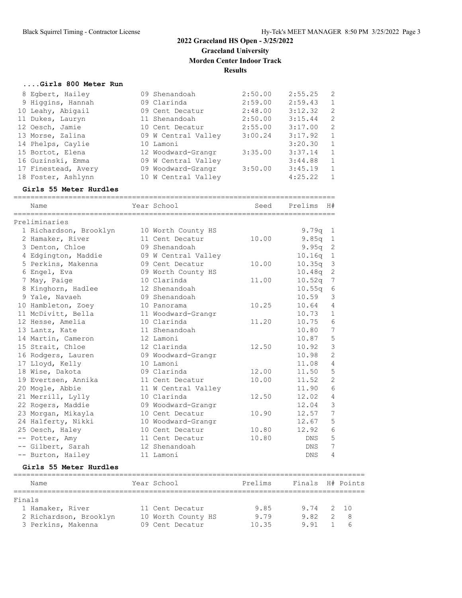**Results**

============================================================================

## **....Girls 800 Meter Run**

| 8 Eqbert, Hailey    | 09 Shenandoah       | 2:50.00 | 2:55.25 | -2 |
|---------------------|---------------------|---------|---------|----|
| 9 Higgins, Hannah   | 09 Clarinda         | 2:59.00 | 2:59.43 | -1 |
| 10 Leahy, Abigail   | 09 Cent Decatur     | 2:48.00 | 3:12.32 | -2 |
| 11 Dukes, Lauryn    | 11 Shenandoah       | 2:50.00 | 3:15.44 | -2 |
| 12 Oesch, Jamie     | 10 Cent Decatur     | 2:55.00 | 3:17.00 | 2  |
| 13 Morse, Zalina    | 09 W Central Valley | 3:00.24 | 3:17.92 | 1  |
| 14 Phelps, Caylie   | 10 Lamoni           |         | 3:20.30 | 1  |
| 15 Bortot, Elena    | 12 Woodward-Grangr  | 3:35.00 | 3:37.14 | 1  |
| 16 Guzinski, Emma   | 09 W Central Valley |         | 3:44.88 | 1  |
| 17 Finestead, Avery | 09 Woodward-Grangr  | 3:50.00 | 3:45.19 | 1  |
| 18 Foster, Ashlynn  | 10 W Central Valley |         | 4:25.22 | -1 |

#### **Girls 55 Meter Hurdles**

|        | Name                   |             | Year School         | Seed    | Prelims    | H#             |           |
|--------|------------------------|-------------|---------------------|---------|------------|----------------|-----------|
|        | Preliminaries          |             |                     |         |            |                |           |
|        | 1 Richardson, Brooklyn |             | 10 Worth County HS  |         | 9.79q      | 1              |           |
|        | 2 Hamaker, River       |             | 11 Cent Decatur     | 10.00   | 9.85q      | $\mathbf{1}$   |           |
|        | 3 Denton, Chloe        |             | 09 Shenandoah       |         | 9.95q      | 2              |           |
|        | 4 Edgington, Maddie    |             | 09 W Central Valley |         | 10.16q     | $\mathbf{1}$   |           |
|        | 5 Perkins, Makenna     |             | 09 Cent Decatur     | 10.00   | 10.35q     | 3              |           |
|        | 6 Engel, Eva           |             | 09 Worth County HS  |         | 10.48q     | 2              |           |
|        | 7 May, Paige           |             | 10 Clarinda         | 11.00   | 10.52q     | 7              |           |
|        | 8 Kinghorn, Hadlee     |             | 12 Shenandoah       |         | 10.55q     | 6              |           |
|        | 9 Yale, Navaeh         |             | 09 Shenandoah       |         | 10.59      | 3              |           |
|        | 10 Hambleton, Zoey     |             | 10 Panorama         | 10.25   | 10.64      | 4              |           |
|        | 11 McDivitt, Bella     |             | 11 Woodward-Grangr  |         | 10.73      | $\mathbf 1$    |           |
|        | 12 Hesse, Amelia       |             | 10 Clarinda         | 11.20   | 10.75      | 6              |           |
|        | 13 Lantz, Kate         |             | 11 Shenandoah       |         | 10.80      | 7              |           |
|        | 14 Martin, Cameron     |             | 12 Lamoni           |         | 10.87      | 5              |           |
|        | 15 Strait, Chloe       |             | 12 Clarinda         | 12.50   | 10.92      | 3              |           |
|        | 16 Rodgers, Lauren     |             | 09 Woodward-Grangr  |         | 10.98      | 2              |           |
|        | 17 Lloyd, Kelly        |             | 10 Lamoni           |         | 11.08      | 4              |           |
|        | 18 Wise, Dakota        |             | 09 Clarinda         | 12.00   | 11.50      | 5              |           |
|        | 19 Evertsen, Annika    |             | 11 Cent Decatur     | 10.00   | 11.52      | $\overline{2}$ |           |
|        | 20 Mogle, Abbie        |             | 11 W Central Valley |         | 11.90      | 6              |           |
|        | 21 Merrill, Lylly      |             | 10 Clarinda         | 12.50   | 12.02      | 4              |           |
|        | 22 Rogers, Maddie      |             | 09 Woodward-Grangr  |         | 12.04      | 3              |           |
|        | 23 Morgan, Mikayla     |             | 10 Cent Decatur     | 10.90   | 12.57      | 7              |           |
|        | 24 Halferty, Nikki     |             | 10 Woodward-Grangr  |         | 12.67      | 5              |           |
|        | 25 Oesch, Haley        |             | 10 Cent Decatur     | 10.80   | 12.92      | 6              |           |
|        | -- Potter, Amy         |             | 11 Cent Decatur     | 10.80   | <b>DNS</b> | 5              |           |
|        | -- Gilbert, Sarah      |             | 12 Shenandoah       |         | DNS        | 7              |           |
|        | -- Burton, Hailey      |             | 11 Lamoni           |         | DNS        | 4              |           |
|        | Girls 55 Meter Hurdles |             |                     |         |            |                |           |
|        | Name                   |             | Year School         | Prelims | Finals     |                | H# Points |
| Finals |                        | =========== |                     |         |            |                |           |
|        | 1 Hamaker, River       |             | 11 Cent Decatur     | 9.85    | 9.74       | 2              | 10        |
|        | 2 Richardson, Brooklyn |             | 10 Worth County HS  | 9.79    | 9.82       | $\overline{2}$ | 8         |

3 Perkins, Makenna 09 Cent Decatur 10.35 9.91 1 6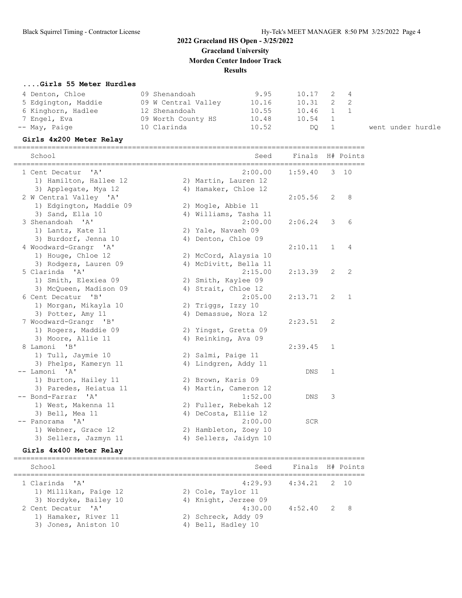went under hurdle

## **2022 Graceland HS Open - 3/25/2022 Graceland University**

**Morden Center Indoor Track**

**Results**

#### **....Girls 55 Meter Hurdles**

| 4 Denton, Chloe     | 09 Shenandoah       | 9.95  | 10.17 | 2 4            |     |
|---------------------|---------------------|-------|-------|----------------|-----|
| 5 Edgington, Maddie | 09 W Central Valley | 10.16 | 10.31 |                | 2 2 |
| 6 Kinghorn, Hadlee  | 12 Shenandoah       | 10.55 | 10.46 | 1 1            |     |
| 7 Engel, Eva        | 09 Worth County HS  | 10.48 | 10.54 | $\overline{1}$ |     |
| -- May, Paige       | 10 Clarinda         | 10.52 | DO 1  |                |     |

#### **Girls 4x200 Meter Relay**

| School                                                | Seed                  | Finals H# Points |              |              |
|-------------------------------------------------------|-----------------------|------------------|--------------|--------------|
| 1 Cent Decatur<br>$\mathsf{r}_{\mathsf{A}}\mathsf{r}$ | 2:00.00               | 1:59.40          | 3            | 10           |
| 1) Hamilton, Hallee 12                                | 2) Martin, Lauren 12  |                  |              |              |
| 3) Applegate, Mya 12                                  | 4) Hamaker, Chloe 12  |                  |              |              |
| 2 W Central Valley 'A'                                |                       | 2:05.56          | 2            | 8            |
| 1) Edgington, Maddie 09                               | 2) Mogle, Abbie 11    |                  |              |              |
| 3) Sand, Ella 10                                      | 4) Williams, Tasha 11 |                  |              |              |
| 3 Shenandoah 'A'                                      | 2:00.00               | 2:06.24          | 3            | 6            |
| 1) Lantz, Kate 11                                     | 2) Yale, Navaeh 09    |                  |              |              |
| 3) Burdorf, Jenna 10                                  | 4) Denton, Chloe 09   |                  |              |              |
| 4 Woodward-Grangr 'A'                                 |                       | 2:10.11          | $\mathbf{1}$ | 4            |
| 1) Houge, Chloe 12                                    | 2) McCord, Alaysia 10 |                  |              |              |
| 3) Rodgers, Lauren 09                                 | 4) McDivitt, Bella 11 |                  |              |              |
| 5 Clarinda<br>$^{\prime}$ A                           | 2:15.00               | 2:13.39          | 2            | 2            |
| 1) Smith, Elexiea 09                                  | 2) Smith, Kaylee 09   |                  |              |              |
| 3) McQueen, Madison 09                                | 4) Strait, Chloe 12   |                  |              |              |
| 6 Cent Decatur<br>"B"                                 | 2:05.00               | 2:13.71          | 2            | $\mathbf{1}$ |
| 1) Morgan, Mikayla 10                                 | 2) Triggs, Izzy 10    |                  |              |              |
| 3) Potter, Amy 11                                     | 4) Demassue, Nora 12  |                  |              |              |
| 7 Woodward-Grangr 'B'                                 |                       | 2:23.51          | 2            |              |
| 1) Rogers, Maddie 09                                  | 2) Yingst, Gretta 09  |                  |              |              |
| 3) Moore, Allie 11                                    | 4) Reinking, Ava 09   |                  |              |              |
| 8 Lamoni 'B'                                          |                       | 2:39.45          | $\mathbf{1}$ |              |
| 1) Tull, Jaymie 10                                    | 2) Salmi, Paige 11    |                  |              |              |
| 3) Phelps, Kameryn 11                                 | 4) Lindgren, Addy 11  |                  |              |              |
| -- Lamoni 'A'                                         |                       | <b>DNS</b>       | $\mathbf{1}$ |              |
| 1) Burton, Hailey 11                                  | 2) Brown, Karis 09    |                  |              |              |
| 3) Paredes, Heiatua 11                                | 4) Martin, Cameron 12 |                  |              |              |
| -- Bond-Farrar 'A'                                    | 1:52.00               | <b>DNS</b>       | 3            |              |
| 1) West, Makenna 11                                   | 2) Fuller, Rebekah 12 |                  |              |              |
| 3) Bell, Mea 11                                       | 4) DeCosta, Ellie 12  |                  |              |              |
| $^{\prime}$ A $^{\prime}$<br>-- Panorama              | 2:00.00               | <b>SCR</b>       |              |              |
| 1) Webner, Grace 12                                   | 2) Hambleton, Zoey 10 |                  |              |              |
| 3) Sellers, Jazmyn 11                                 | 4) Sellers, Jaidyn 10 |                  |              |              |

#### **Girls 4x400 Meter Relay**

| School                                       | Seed                                      | Finals H# Points         |  |
|----------------------------------------------|-------------------------------------------|--------------------------|--|
| 1 Clarinda 'A'<br>1) Millikan, Paige 12      | 2) Cole, Taylor 11                        | $4:29.93$ $4:34.21$ 2 10 |  |
| 3) Nordyke, Bailey 10<br>2 Cent Decatur 'A'  | 4) Knight, Jerzee 09<br>4:30.00           | 4:52.40 2 8              |  |
| 1) Hamaker, River 11<br>3) Jones, Aniston 10 | 2) Schreck, Addy 09<br>4) Bell, Hadley 10 |                          |  |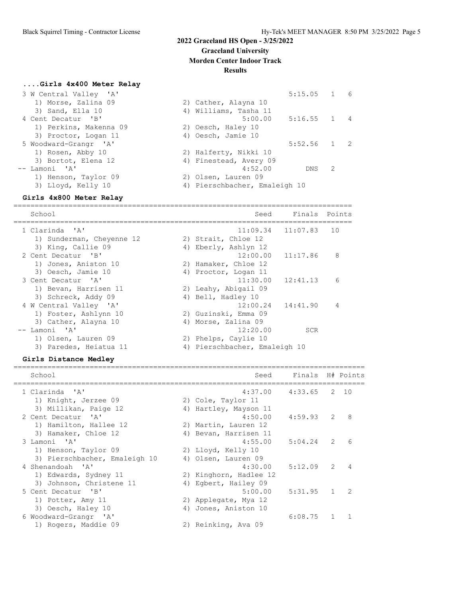### **....Girls 4x400 Meter Relay**

| 3 W Central Valley 'A' |                               | $5:15.05$ 1 6 |  |
|------------------------|-------------------------------|---------------|--|
| 1) Morse, Zalina 09    | 2) Cather, Alayna 10          |               |  |
| 3) Sand, Ella 10       | 4) Williams, Tasha 11         |               |  |
| 4 Cent Decatur 'B'     | 5:00.00                       | $5:16.55$ 1 4 |  |
| 1) Perkins, Makenna 09 | 2) Oesch, Haley 10            |               |  |
| 3) Proctor, Logan 11   | 4) Oesch, Jamie 10            |               |  |
| 5 Woodward-Grangr 'A'  |                               | $5:52.56$ 1 2 |  |
| 1) Rosen, Abby 10      | 2) Halferty, Nikki 10         |               |  |
| 3) Bortot, Elena 12    | 4) Finestead, Avery 09        |               |  |
| -- Lamoni 'A'          | 4:52.00                       | DNS 2         |  |
| 1) Henson, Taylor 09   | 2) Olsen, Lauren 09           |               |  |
| 3) Lloyd, Kelly 10     | 4) Pierschbacher, Emaleigh 10 |               |  |

#### **Girls 4x800 Meter Relay**

================================================================================ School Seed Finals Points ================================================================================ 1 Clarinda 'A' 11:09.34 11:07.83 10 1) Sunderman, Cheyenne 12 2) Strait, Chloe 12 3) King, Callie 09 4) Eberly, Ashlyn 12 2 Cent Decatur 'B' 12:00.00 11:17.86 8 1) Jones, Aniston 10 2) Hamaker, Chloe 12 3) Oesch, Jamie 10 (4) Proctor, Logan 11 3 Cent Decatur 'A' 11:30.00 12:41.13 6 1) Bevan, Harrisen 11 1200 2001 Leahy, Abigail 09 3) Schreck, Addy 09 4) Bell, Hadley 10 4 W Central Valley 'A' 12:00.24 14:41.90 4 1) Foster, Ashlynn 10 2) Guzinski, Emma 09 3) Cather, Alayna 10 (4) Morse, Zalina 09 -- Lamoni 'A' 12:20.00 SCR 1) Olsen, Lauren 09 2) Phelps, Caylie 10 3) Paredes, Heiatua 11 4) Pierschbacher, Emaleigh 10

#### **Girls Distance Medley**

| School                        | Seed                   | Finals H# Points |   |                |
|-------------------------------|------------------------|------------------|---|----------------|
| 1 Clarinda 'A'                | 4:37.00                | $4:33.65$ 2 10   |   |                |
| 1) Knight, Jerzee 09          | 2) Cole, Taylor 11     |                  |   |                |
| 3) Millikan, Paige 12         | 4) Hartley, Mayson 11  |                  |   |                |
| 2 Cent Decatur 'A'            | 4:50.00                | $4:59.93$ 2      |   | 8              |
| 1) Hamilton, Hallee 12        | 2) Martin, Lauren 12   |                  |   |                |
| 3) Hamaker, Chloe 12          | 4) Bevan, Harrisen 11  |                  |   |                |
| 3 Lamoni 'A'                  | 4:55.00                | 5:04.24          | 2 | 6              |
| 1) Henson, Taylor 09          | 2) Lloyd, Kelly 10     |                  |   |                |
| 3) Pierschbacher, Emaleigh 10 | 4) Olsen, Lauren 09    |                  |   |                |
| 4 Shenandoah 'A'              | 4:30.00                | 5:12.09          | 2 | $\overline{4}$ |
| 1) Edwards, Sydney 11         | 2) Kinghorn, Hadlee 12 |                  |   |                |
| 3) Johnson, Christene 11      | 4) Egbert, Hailey 09   |                  |   |                |
| 5 Cent Decatur 'B'            | 5:00.00                | $5:31.95$ 1      |   | $\overline{2}$ |
| 1) Potter, Amy 11             | 2) Applegate, Mya 12   |                  |   |                |
| 3) Oesch, Haley 10            | 4) Jones, Aniston 10   |                  |   |                |
| 6 Woodward-Grangr 'A'         |                        | 6:08.75          |   |                |
| 1) Rogers, Maddie 09          | 2) Reinking, Ava 09    |                  |   |                |

===================================================================================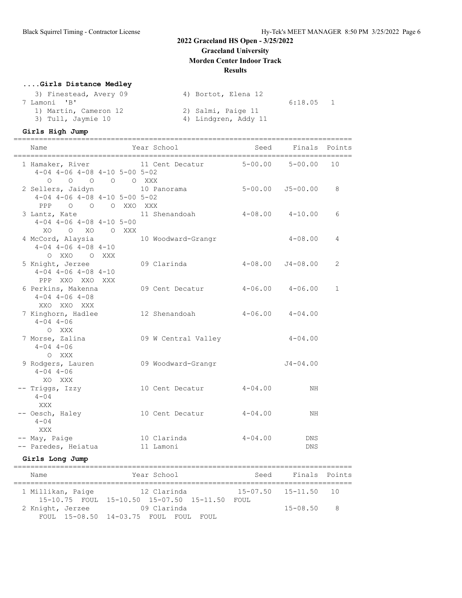#### **....Girls Distance Medley**

| 3) Finestead, Avery 09 | 4) Bortot, Elena 12  |           |  |
|------------------------|----------------------|-----------|--|
| 7 Lamoni 'B'           |                      | 6:18.05 1 |  |
| 1) Martin, Cameron 12  | 2) Salmi, Paige 11   |           |  |
| 3) Tull, Jaymie 10     | 4) Lindgren, Addy 11 |           |  |

#### **Girls High Jump**

| Name                                                                                                                                                         | Year School                       | Seed Finals Points |                          |               |
|--------------------------------------------------------------------------------------------------------------------------------------------------------------|-----------------------------------|--------------------|--------------------------|---------------|
| 1 Hamaker, River 11 Cent Decatur 5-00.00 5-00.00<br>$4-04$ $4-06$ $4-08$ $4-10$ $5-00$ $5-02$<br>O O O O XXX<br>$\Omega$                                     |                                   |                    |                          | 10            |
| 2 Sellers, Jaidyn 10 Panorama 5-00.00 J5-00.00<br>$4-04$ $4-06$ $4-08$ $4-10$ $5-00$ $5-02$<br>PPP 0 0 0 XXO XXX                                             |                                   |                    |                          | 8             |
| 3 Lantz, Kate $11$ Shenandoah $4-08.00$ $4-10.00$<br>$4-04$ $4-06$ $4-08$ $4-10$ $5-00$<br>XOOXOOXXX                                                         |                                   |                    |                          | 6             |
| 4 McCord, Alaysia<br>$4-04$ $4-06$ $4-08$ $4-10$<br>O XXO O XXX                                                                                              | 10 Woodward-Grangr                |                    | $4 - 08.00$              | 4             |
| 5 Knight, Jerzee<br>$4-04$ $4-06$ $4-08$ $4-10$<br>PPP XXO XXO XXX                                                                                           | 09 Clarinda                       | 4-08.00 J4-08.00   |                          | 2             |
| 6 Perkins, Makenna<br>$4 - 04$ $4 - 06$ $4 - 08$<br>XXO XXO XXX                                                                                              | 09 Cent Decatur 4-06.00 4-06.00   |                    |                          | $\mathbf{1}$  |
| 7 Kinghorn, Hadlee<br>$4 - 04$ $4 - 06$<br>O XXX                                                                                                             | 12 Shenandoah $4-06.00$ $4-04.00$ |                    |                          |               |
| 7 Morse, Zalina<br>$4 - 04$ $4 - 06$<br>O XXX                                                                                                                | 09 W Central Valley 1-04.00       |                    |                          |               |
| 9 Rodgers, Lauren<br>$4 - 04$ $4 - 06$<br>XO XXX                                                                                                             | 09 Woodward-Grangr                |                    | $J4 - 04.00$             |               |
| -- Triggs, Izzy<br>$4 - 04$<br>XXX                                                                                                                           | 10 Cent Decatur 4-04.00           |                    | NH                       |               |
| -- Oesch, Haley<br>$4 - 04$<br>XXX                                                                                                                           | 10 Cent Decatur 4-04.00           |                    | ΝH                       |               |
| -- May, Paige 10 Clarinda<br>-- Paredes, Heiatua                                                                                                             | 11 Lamoni                         | $4 - 04$ .00       | <b>DNS</b><br><b>DNS</b> |               |
| Girls Long Jump                                                                                                                                              |                                   |                    |                          |               |
| Name                                                                                                                                                         | Year School                       | Seed               |                          | Finals Points |
| $1 \text{ M}$ ; $11$ ; $15 \text{ m}$ , $10 \text{ m}$ ; $12 \text{ m}$ ; $15 \text{ m}$ ; $15 \text{ m}$ ; $15 \text{ m}$ ; $16 \text{ m}$ ; $10 \text{ m}$ |                                   |                    |                          |               |

 1 Millikan, Paige 12 Clarinda 15-07.50 15-11.50 10 15-10.75 FOUL 15-10.50 15-07.50 15-11.50 FOUL 2 Knight, Jerzee 09 Clarinda 15-08.50 8 FOUL 15-08.50 14-03.75 FOUL FOUL FOUL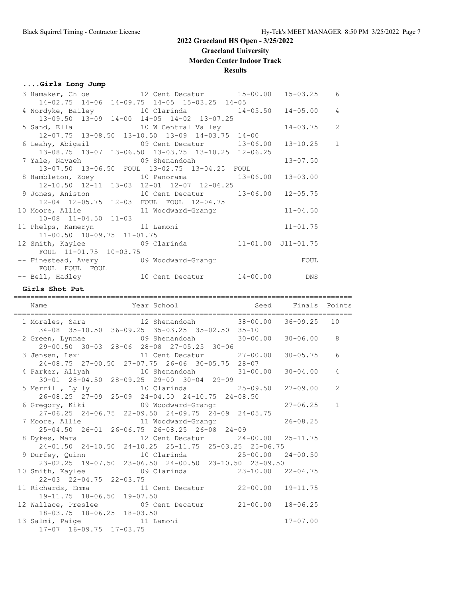# **2022 Graceland HS Open - 3/25/2022**

**Graceland University**

# **Morden Center Indoor Track**

### **Results**

#### **....Girls Long Jump**

|                |                                                                                                                                                                                                     | $13 - 10.25$ 1                                                                                                                                                                                                                                                                                                                                          |                                                                                                                                                                                                                                                                                                                                                                                                                                                                                                                       |
|----------------|-----------------------------------------------------------------------------------------------------------------------------------------------------------------------------------------------------|---------------------------------------------------------------------------------------------------------------------------------------------------------------------------------------------------------------------------------------------------------------------------------------------------------------------------------------------------------|-----------------------------------------------------------------------------------------------------------------------------------------------------------------------------------------------------------------------------------------------------------------------------------------------------------------------------------------------------------------------------------------------------------------------------------------------------------------------------------------------------------------------|
|                |                                                                                                                                                                                                     |                                                                                                                                                                                                                                                                                                                                                         |                                                                                                                                                                                                                                                                                                                                                                                                                                                                                                                       |
|                |                                                                                                                                                                                                     | $13 - 07.50$                                                                                                                                                                                                                                                                                                                                            |                                                                                                                                                                                                                                                                                                                                                                                                                                                                                                                       |
|                |                                                                                                                                                                                                     |                                                                                                                                                                                                                                                                                                                                                         |                                                                                                                                                                                                                                                                                                                                                                                                                                                                                                                       |
|                |                                                                                                                                                                                                     |                                                                                                                                                                                                                                                                                                                                                         |                                                                                                                                                                                                                                                                                                                                                                                                                                                                                                                       |
|                |                                                                                                                                                                                                     |                                                                                                                                                                                                                                                                                                                                                         |                                                                                                                                                                                                                                                                                                                                                                                                                                                                                                                       |
|                |                                                                                                                                                                                                     |                                                                                                                                                                                                                                                                                                                                                         |                                                                                                                                                                                                                                                                                                                                                                                                                                                                                                                       |
|                |                                                                                                                                                                                                     |                                                                                                                                                                                                                                                                                                                                                         |                                                                                                                                                                                                                                                                                                                                                                                                                                                                                                                       |
|                |                                                                                                                                                                                                     |                                                                                                                                                                                                                                                                                                                                                         |                                                                                                                                                                                                                                                                                                                                                                                                                                                                                                                       |
|                |                                                                                                                                                                                                     |                                                                                                                                                                                                                                                                                                                                                         |                                                                                                                                                                                                                                                                                                                                                                                                                                                                                                                       |
|                |                                                                                                                                                                                                     | $11 - 01.75$                                                                                                                                                                                                                                                                                                                                            |                                                                                                                                                                                                                                                                                                                                                                                                                                                                                                                       |
|                |                                                                                                                                                                                                     |                                                                                                                                                                                                                                                                                                                                                         |                                                                                                                                                                                                                                                                                                                                                                                                                                                                                                                       |
|                |                                                                                                                                                                                                     |                                                                                                                                                                                                                                                                                                                                                         |                                                                                                                                                                                                                                                                                                                                                                                                                                                                                                                       |
|                |                                                                                                                                                                                                     |                                                                                                                                                                                                                                                                                                                                                         |                                                                                                                                                                                                                                                                                                                                                                                                                                                                                                                       |
|                |                                                                                                                                                                                                     |                                                                                                                                                                                                                                                                                                                                                         |                                                                                                                                                                                                                                                                                                                                                                                                                                                                                                                       |
| FOUL FOUL FOUL |                                                                                                                                                                                                     |                                                                                                                                                                                                                                                                                                                                                         |                                                                                                                                                                                                                                                                                                                                                                                                                                                                                                                       |
|                |                                                                                                                                                                                                     |                                                                                                                                                                                                                                                                                                                                                         |                                                                                                                                                                                                                                                                                                                                                                                                                                                                                                                       |
|                | 7 Yale, Navaeh 609 Shenandoah<br>$10-08$ $11-04.50$ $11-03$<br>11 Phelps, Kameryn 11 Lamoni<br>$11-00.50$ $10-09.75$ $11-01.75$<br>FOUL 11-01.75 10-03.75<br>-- Finestead, Avery 69 Woodward-Grangr | 14-02.75 14-06 14-09.75 14-05 15-03.25 14-05<br>$13-09.50$ $13-09$ $14-00$ $14-05$ $14-02$ $13-07.25$<br>12-07.75 13-08.50 13-10.50 13-09 14-03.75 14-00<br>13-08.75 13-07 13-06.50 13-03.75 13-10.25 12-06.25<br>13-07.50 13-06.50 FOUL 13-02.75 13-04.25 FOUL<br>12-10.50 12-11 13-03 12-01 12-07 12-06.25<br>12-04 12-05.75 12-03 FOUL FOUL 12-04.75 | 3 Hamaker, Chloe 12 Cent Decatur 15-00.00 15-03.25 6<br>4 Nordyke, Bailey 10 Clarinda 14-05.50 14-05.00 4<br>5 Sand, Ella               10 W Central Valley               14-03.75     2<br>6 Leahy, Abigail 6 09 Cent Decatur 13-06.00<br>8 Hambleton, Zoey 10 Panorama 13-06.00 13-03.00<br>9 Jones, Aniston 10 Cent Decatur 13-06.00 12-05.75<br>10 Moore, Allie 30 and 11 Woodward-Grangr 31-04.50<br>12 Smith, Kaylee 69 Clarinda 11-01.00 J11-01.75<br>FOUL<br>-- Bell, Hadley $10$ Cent Decatur $14-00.00$ DNS |

#### **Girls Shot Put**

================================================================================ Name The Year School Contract Seed Finals Points ================================================================================ 1 Morales, Sara 12 Shenandoah 38-00.00 36-09.25 10 34-08 35-10.50 36-09.25 35-03.25 35-02.50 35-10 2 Green, Lynnae 09 Shenandoah 30-00.00 30-06.00 8 29-00.50 30-03 28-06 28-08 27-05.25 30-06 3 Jensen, Lexi 11 Cent Decatur 27-00.00 30-05.75 6 24-08.75 27-00.50 27-07.75 26-06 30-05.75 28-07 4 Parker, Aliyah 10 Shenandoah 31-00.00 30-04.00 4 30-01 28-04.50 28-09.25 29-00 30-04 29-09 5 Merrill, Lylly 10 Clarinda 25-09.50 27-09.00 2 26-08.25 27-09 25-09 24-04.50 24-10.75 24-08.50 6 Gregory, Kiki 09 Woodward-Grangr 27-06.25 1 27-06.25 24-06.75 22-09.50 24-09.75 24-09 24-05.75 7 Moore, Allie 11 Woodward-Grangr 26-08.25 25-04.50 26-01 26-06.75 26-08.25 26-08 24-09 8 Dykes, Mara 12 Cent Decatur 24-00.00 25-11.75 24-01.50 24-10.50 24-10.25 25-11.75 25-03.25 25-06.75 9 Durfey, Quinn 10 Clarinda 25-00.00 24-00.50 23-02.25 19-07.50 23-06.50 24-00.50 23-10.50 23-09.50 10 Smith, Kaylee 09 Clarinda 23-10.00 22-04.75 22-03 22-04.75 22-03.75 11 Richards, Emma 11 Cent Decatur 22-00.00 19-11.75 19-11.75 18-06.50 19-07.50 12 Wallace, Preslee 09 Cent Decatur 21-00.00 18-06.25 18-03.75 18-06.25 18-03.50 13 Salmi, Paige 11 Lamoni 17-07.00 17-07 16-09.75 17-03.75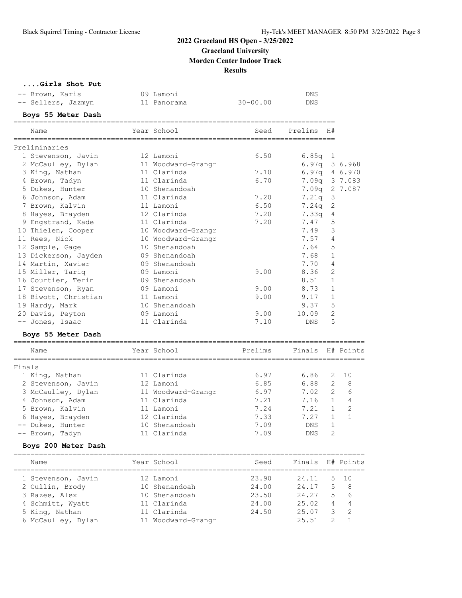# **2022 Graceland HS Open - 3/25/2022**

**Graceland University**

**Morden Center Indoor Track**

#### **Results**

### **....Girls Shot Put**

| -- Brown, Karis    | 09 Lamoni   |              | DNS |
|--------------------|-------------|--------------|-----|
| -- Sellers, Jazmyn | 11 Panorama | $30 - 00.00$ | DNS |

## **Boys 55 Meter Dash**

|        | Name                                 | Year School                | Seed    | Prelims        | H#             |                |
|--------|--------------------------------------|----------------------------|---------|----------------|----------------|----------------|
|        | Preliminaries                        |                            |         |                |                |                |
|        | 1 Stevenson, Javin                   | 12 Lamoni                  | 6.50    | 6.85q          | 1              |                |
|        | 2 McCaulley, Dylan                   | 11 Woodward-Grangr         |         | 6.97q          |                | 3 6.968        |
|        | 3 King, Nathan                       | 11 Clarinda                | 7.10    | 6.97q          |                | 4 6.970        |
|        | 4 Brown, Tadyn                       | 11 Clarinda                | 6.70    | 7.09q          |                | 3 7.083        |
|        | 5 Dukes, Hunter                      | 10 Shenandoah              |         | 7.09q          |                | 2 7.087        |
|        | 6 Johnson, Adam                      | 11 Clarinda                | 7.20    | 7.21q          | 3              |                |
|        | 7 Brown, Kalvin                      | 11 Lamoni                  | 6.50    | 7.24q          | 2              |                |
|        | 8 Hayes, Brayden                     | 12 Clarinda                | 7.20    | 7.33q          | 4              |                |
|        | 9 Engstrand, Kade                    | 11 Clarinda                | 7.20    | 7.47           | 5              |                |
|        | 10 Thielen, Cooper                   | 10 Woodward-Grangr         |         | 7.49           | 3              |                |
|        | 11 Rees, Nick                        | 10 Woodward-Grangr         |         | 7.57           | 4              |                |
|        | 12 Sample, Gage                      | 10 Shenandoah              |         | 7.64           | 5              |                |
|        | 13 Dickerson, Jayden                 | 09 Shenandoah              |         | 7.68           | $\mathbf{1}$   |                |
|        | 14 Martin, Xavier                    | 09 Shenandoah              |         | 7.70           | 4              |                |
|        | 15 Miller, Tariq                     | 09 Lamoni                  | 9.00    | 8.36           | $\overline{2}$ |                |
|        | 16 Courtier, Terin                   | 09 Shenandoah              |         | 8.51           | $\mathbf{1}$   |                |
|        | 17 Stevenson, Ryan                   | 09 Lamoni                  | 9.00    | 8.73           | $\mathbf{1}$   |                |
|        | 18 Biwott, Christian                 | 11 Lamoni                  | 9.00    | 9.17           | $\mathbf{1}$   |                |
|        | 19 Hardy, Mark                       | 10 Shenandoah              |         | 9.37           | 5              |                |
|        | 20 Davis, Peyton                     | 09 Lamoni                  | 9.00    | 10.09          | $\mathbf{2}$   |                |
|        | -- Jones, Isaac                      | 11 Clarinda                | 7.10    | <b>DNS</b>     | 5              |                |
|        | Boys 55 Meter Dash                   |                            |         |                |                |                |
|        | Name                                 | Year School                | Prelims | Finals         |                | H# Points      |
| Finals |                                      |                            |         |                |                |                |
|        | 1 King, Nathan                       | 11 Clarinda                | 6.97    | 6.86           | 2              | 10             |
|        | 2 Stevenson, Javin                   | 12 Lamoni                  | 6.85    | 6.88           | 2              | 8              |
|        | 3 McCaulley, Dylan                   | 11 Woodward-Grangr         | 6.97    | 7.02           | $\overline{2}$ | 6              |
|        | 4 Johnson, Adam                      | 11 Clarinda                | 7.21    | 7.16           | $\mathbf{1}$   | $\overline{4}$ |
|        | 5 Brown, Kalvin                      | 11 Lamoni                  | 7.24    | 7.21           | $\mathbf{1}$   | $\overline{c}$ |
|        | 6 Hayes, Brayden                     | 12 Clarinda                | 7.33    | 7.27           | $\mathbf{1}$   | $\mathbf{1}$   |
|        | -- Dukes, Hunter                     | 10 Shenandoah              | 7.09    | <b>DNS</b>     | $\mathbf{1}$   |                |
|        | -- Brown, Tadyn                      | 11 Clarinda                | 7.09    | DNS            | 2              |                |
|        |                                      |                            |         |                |                |                |
|        | Boys 200 Meter Dash                  |                            |         |                |                |                |
|        | Name                                 | Year School                | Seed    | Finals         |                | H# Points      |
|        |                                      |                            |         |                |                |                |
|        | 1 Stevenson, Javin                   | 12 Lamoni                  | 23.90   | 24.11          | 5              | 10             |
|        | 2 Cullin, Brody                      | 10 Shenandoah              | 24.00   | 24.17          | 5              | 8              |
|        | 3 Razee, Alex                        | 10 Shenandoah              | 23.50   | 24.27          | 5<br>4         | 6              |
|        | 4 Schmitt, Wyatt                     | 11 Clarinda<br>11 Clarinda | 24.00   | 25.02          | 3              | 4<br>2         |
|        | 5 King, Nathan<br>6 McCaulley, Dylan | 11 Woodward-Grangr         | 24.50   | 25.07<br>25.51 | $\overline{2}$ | 1              |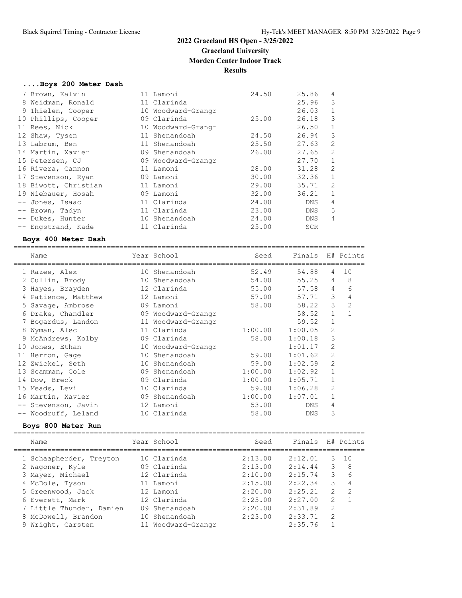#### **Results**

===================================================================================

### **....Boys 200 Meter Dash**

| 7 Brown, Kalvin      | 11 Lamoni          | 24.50 | 25.86      | 4              |
|----------------------|--------------------|-------|------------|----------------|
| 8 Weidman, Ronald    | 11 Clarinda        |       | 25.96      | 3              |
| 9 Thielen, Cooper    | 10 Woodward-Grangr |       | 26.03      | 1              |
| 10 Phillips, Cooper  | 09 Clarinda        | 25.00 | 26.18      | 3              |
| 11 Rees, Nick        | 10 Woodward-Grangr |       | 26.50      |                |
| 12 Shaw, Tysen       | 11 Shenandoah      | 24.50 | 26.94      | 3              |
| 13 Labrum, Ben       | 11 Shenandoah      | 25.50 | 27.63      | $\mathfrak{D}$ |
| 14 Martin, Xavier    | 09 Shenandoah      | 26.00 | 27.65      | 2              |
| 15 Petersen, CJ      | 09 Woodward-Grangr |       | 27.70      | 1              |
| 16 Rivera, Cannon    | 11 Lamoni          | 28.00 | 31.28      | $\mathfrak{D}$ |
| 17 Stevenson, Ryan   | 09 Lamoni          | 30.00 | 32.36      | 1              |
| 18 Biwott, Christian | 11 Lamoni          | 29.00 | 35.71      | $\mathfrak{D}$ |
| 19 Niebauer, Hosah   | 09 Lamoni          | 32.00 | 36.21      | $\mathbf{1}$   |
| -- Jones, Isaac      | 11 Clarinda        | 24.00 | <b>DNS</b> | 4              |
| -- Brown, Tadyn      | 11 Clarinda        | 23.00 | <b>DNS</b> | 5              |
| -- Dukes, Hunter     | 10 Shenandoah      | 24.00 | <b>DNS</b> | 4              |
| -- Engstrand, Kade   | 11 Clarinda        | 25.00 | <b>SCR</b> |                |

## **Boys 400 Meter Dash**

|    | Name                | Year School        | Seed    | Finals H# Points |                |                |
|----|---------------------|--------------------|---------|------------------|----------------|----------------|
|    | 1 Razee, Alex       | 10 Shenandoah      | 52.49   | 54.88            | 4              | 10             |
|    | 2 Cullin, Brody     | 10 Shenandoah      | 54.00   | 55.25            | 4              | 8              |
|    | 3 Hayes, Brayden    | 12 Clarinda        | 55.00   | 57.58            | 4              | 6              |
|    | 4 Patience, Matthew | 12 Lamoni          | 57.00   | 57.71            | 3              | 4              |
|    | 5 Savage, Ambrose   | 09 Lamoni          | 58.00   | 58.22            | 3              | $\overline{2}$ |
|    | 6 Drake, Chandler   | 09 Woodward-Grangr |         | 58.52            | $\mathbf{1}$   | $\mathbf{1}$   |
|    | 7 Bogardus, Landon  | 11 Woodward-Grangr |         | 59.52            | $\mathbf{1}$   |                |
|    | 8 Wyman, Alec       | 11 Clarinda        | 1:00.00 | 1:00.05          | 2              |                |
|    | 9 McAndrews, Kolby  | 09 Clarinda        | 58.00   | 1:00.18          | 3              |                |
| 10 | Jones, Ethan        | 10 Woodward-Grangr |         | 1:01.17          | $\overline{2}$ |                |
|    | 11 Herron, Gage     | 10 Shenandoah      | 59.00   | 1:01.62          | $\overline{2}$ |                |
|    | 12 Zwickel, Seth    | 10 Shenandoah      | 59.00   | 1:02.59          | $\overline{2}$ |                |
| 13 | Scamman, Cole       | 09 Shenandoah      | 1:00.00 | 1:02.92          | $\mathbf{1}$   |                |
| 14 | Dow, Breck          | 09 Clarinda        | 1:00.00 | 1:05.71          | $\mathbf{1}$   |                |
|    | 15 Meads, Levi      | 10 Clarinda        | 59.00   | 1:06.28          | 2              |                |
|    | 16 Martin, Xavier   | 09 Shenandoah      | 1:00.00 | 1:07.01          | 1              |                |
|    | -- Stevenson, Javin | 12 Lamoni          | 53.00   | <b>DNS</b>       | 4              |                |
|    | -- Woodruff, Leland | 10 Clarinda        | 58.00   | DNS              | 3              |                |

## **Boys 800 Meter Run**

| Name                     | Year School        | Seed    | Finals  |               | H# Points     |
|--------------------------|--------------------|---------|---------|---------------|---------------|
| 1 Schaapherder, Treyton  | 10 Clarinda        | 2:13.00 | 2:12.01 | 3.            | 10            |
| 2 Waqoner, Kyle          | 09 Clarinda        | 2:13.00 | 2:14.44 | 3             | 8             |
| 3 Mayer, Michael         | 12 Clarinda        | 2:10.00 | 2:15.74 | 3             | 6             |
| 4 McDole, Tyson          | 11 Lamoni          | 2:15.00 | 2:22.34 | 3             | 4             |
| 5 Greenwood, Jack        | 12 Lamoni          | 2:20.00 | 2:25.21 | $\mathcal{L}$ | $\mathcal{P}$ |
| 6 Everett, Mark          | 12 Clarinda        | 2:25.00 | 2:27.00 | $\mathcal{L}$ |               |
| 7 Little Thunder, Damien | 09 Shenandoah      | 2:20.00 | 2:31.89 | 2             |               |
| 8 McDowell, Brandon      | 10 Shenandoah      | 2:23.00 | 2:33.71 | $\mathcal{L}$ |               |
| 9 Wright, Carsten        | 11 Woodward-Grangr |         | 2:35.76 |               |               |
|                          |                    |         |         |               |               |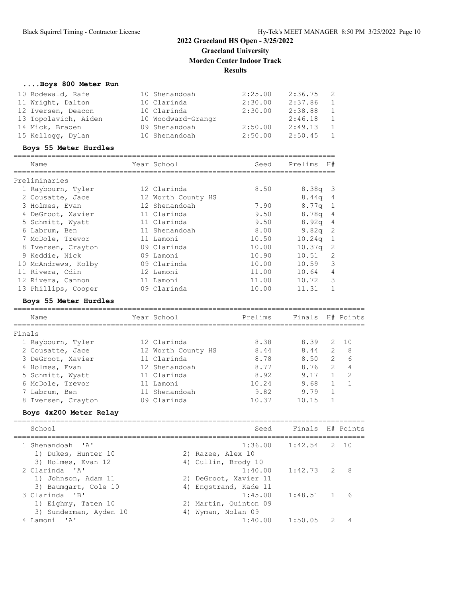**Results**

### **....Boys 800 Meter Run**

| 10 Rodewald, Rafe    | 10 Shenandoah      | 2:25.00 | 2:36.75 | $\overline{2}$ |
|----------------------|--------------------|---------|---------|----------------|
| 11 Wright, Dalton    | 10 Clarinda        | 2:30.00 | 2:37.86 | 1              |
| 12 Iversen, Deacon   | 10 Clarinda        | 2:30.00 | 2:38.88 | 1              |
| 13 Topolavich, Aiden | 10 Woodward-Grangr |         | 2:46.18 | $\overline{1}$ |
| 14 Mick, Braden      | 09 Shenandoah      | 2:50.00 | 2:49.13 | $\overline{1}$ |
| 15 Kellogg, Dylan    | 10 Shenandoah      | 2:50.00 | 2:50.45 | $\overline{1}$ |

#### **Boys 55 Meter Hurdles**

| Name                | Year School        | Seed  | Prelims            | H#           |
|---------------------|--------------------|-------|--------------------|--------------|
| Preliminaries       |                    |       |                    |              |
| 1 Raybourn, Tyler   | 12 Clarinda        | 8.50  | $8.38q$ 3          |              |
| 2 Cousatte, Jace    | 12 Worth County HS |       | 8.44 <sub>q</sub>  | - 4          |
| 3 Holmes, Evan      | 12 Shenandoah      | 7.90  | 8.77 <sub>q</sub>  | - 1          |
| 4 DeGroot, Xavier   | 11 Clarinda        | 9.50  | 8.78a              | 4            |
| 5 Schmitt, Wyatt    | 11 Clarinda        | 9.50  | 8.92q              | - 4          |
| 6 Labrum, Ben       | 11 Shenandoah      | 8.00  | $9.82q$ 2          |              |
| 7 McDole, Trevor    | 11 Lamoni          | 10.50 | 10.24 <sub>q</sub> | $\mathbf{1}$ |
| 8 Iversen, Crayton  | 09 Clarinda        | 10.00 | 10.37 <sub>q</sub> | - 2          |
| 9 Keddie, Nick      | 09 Lamoni          | 10.90 | 10.51              | 2            |
| 10 McAndrews, Kolby | 09 Clarinda        | 10.00 | 10.59              | 3            |
| 11 Rivera, Odin     | 12 Lamoni          | 11.00 | 10.64              | 4            |
| 12 Rivera, Cannon   | 11 Lamoni          | 11.00 | 10.72              | 3            |
| 13 Phillips, Cooper | 09 Clarinda        | 10.00 | 11.31              |              |
|                     |                    |       |                    |              |

#### **Boys 55 Meter Hurdles**

| Name               | Year School   |                    | Prelims | Finals |               | H# Points |
|--------------------|---------------|--------------------|---------|--------|---------------|-----------|
| Finals             |               |                    |         |        |               |           |
| 1 Raybourn, Tyler  | 12 Clarinda   |                    | 8.38    | 8.39   | 2             | 10        |
| 2 Cousatte, Jace   |               | 12 Worth County HS | 8.44    | 8.44   | 2             | 8         |
| 3 DeGroot, Xavier  | 11 Clarinda   |                    | 8.78    | 8.50   | $\mathcal{L}$ | 6         |
| 4 Holmes, Evan     | 12 Shenandoah |                    | 8.77    | 8.76   | $\mathcal{L}$ |           |
| 5 Schmitt, Wyatt   | 11 Clarinda   |                    | 8.92    | 9.17   |               | 2         |
| 6 McDole, Trevor   | 11 Lamoni     |                    | 10.24   | 9.68   |               |           |
| 7 Labrum, Ben      | 11 Shenandoah |                    | 9.82    | 9.79   |               |           |
| 8 Iversen, Crayton | 09 Clarinda   |                    | 10.37   | 1015   |               |           |
|                    |               |                    |         |        |               |           |

#### **Boys 4x200 Meter Relay**

| School                 | Finals H# Points<br>Seed            |   |
|------------------------|-------------------------------------|---|
| 1 Shenandoah 'A'       | $1:36.00$ $1:42.54$ 2 10            |   |
| 1) Dukes, Hunter 10    | 2) Razee, Alex 10                   |   |
| 3) Holmes, Evan 12     | 4) Cullin, Brody 10                 |   |
| 2 Clarinda 'A'         | $1:42.73$ 2<br>1:40.00              | 8 |
| 1) Johnson, Adam 11    | 2) DeGroot, Xavier 11               |   |
| 3) Baumgart, Cole 10   | 4) Engstrand, Kade 11               |   |
| 3 Clarinda 'B'         | $1:48.51$ 1<br>1:45.00              | 6 |
| 1) Eighmy, Taten 10    | 2) Martin, Quinton 09               |   |
| 3) Sunderman, Ayden 10 | 4) Wyman, Nolan 09                  |   |
| $\mathsf{A}$<br>Lamoni | 1:40.00<br>$\mathcal{P}$<br>1:50.05 |   |
|                        |                                     |   |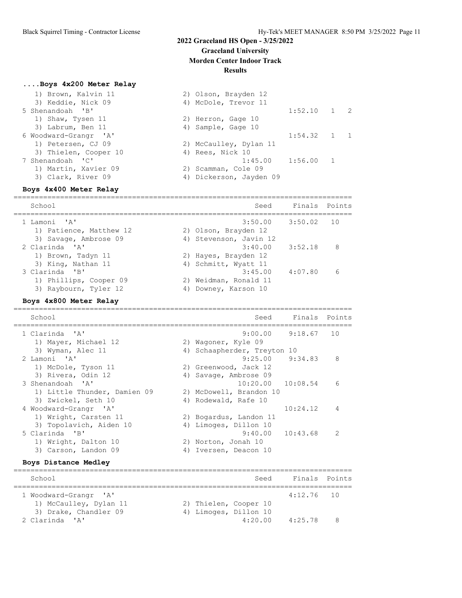### **....Boys 4x200 Meter Relay**

| 1) Brown, Kalvin 11   | 2) Olson, Brayden 12    |                           |            |  |
|-----------------------|-------------------------|---------------------------|------------|--|
| 3) Keddie, Nick 09    | 4) McDole, Trevor 11    |                           |            |  |
| 5 Shenandoah 'B'      |                         | $1:52.10$ 1 2             |            |  |
| 1) Shaw, Tysen 11     | 2) Herron, Gage 10      |                           |            |  |
| 3) Labrum, Ben 11     | 4) Sample, Gage 10      |                           |            |  |
| 6 Woodward-Grangr 'A' |                         | $1:54.32 \quad 1 \quad 1$ |            |  |
| 1) Petersen, CJ 09    | 2) McCaulley, Dylan 11  |                           |            |  |
| 3) Thielen, Cooper 10 | 4) Rees, Nick 10        |                           |            |  |
| 7 Shenandoah 'C'      | $1:45.00$ $1:56.00$     |                           | $\sqrt{1}$ |  |
| 1) Martin, Xavier 09  | 2) Scamman, Cole 09     |                           |            |  |
| 3) Clark, River 09    | 4) Dickerson, Jayden 09 |                           |            |  |
|                       |                         |                           |            |  |

#### **Boys 4x400 Meter Relay**

================================================================================ School Seed Finals Points ================================================================================ 1 Lamoni 'A' 3:50.00 3:50.02 10 1) Patience, Matthew 12 (2) Olson, Brayden 12 3) Savage, Ambrose 09 (4) Stevenson, Javin 12 2 Clarinda 'A' 3:40.00 3:52.18 8 1) Brown, Tadyn 11 12 2) Hayes, Brayden 12 3) King, Nathan 11 4) Schmitt, Wyatt 11 3 Clarinda 'B' 3:45.00 4:07.80 6 1) Phillips, Cooper 09 2) Weidman, Ronald 11 3) Raybourn, Tyler 12 1988 4) Downey, Karson 10

#### **Boys 4x800 Meter Relay**

================================================================================ School Seed Finals Points ================================================================================ 1 Clarinda 'A' 9:00.00 9:18.67 10 1) Mayer, Michael 12 2) Wagoner, Kyle 09 3) Wyman, Alec 11 4) Schaapherder, Treyton 10 2 Lamoni 'A' 9:25.00 9:34.83 8 1) McDole, Tyson 11 2) Greenwood, Jack 12 3) Rivera, Odin 12 4) Savage, Ambrose 09 3 Shenandoah 'A' 10:20.00 10:08.54 6 1) Little Thunder, Damien 09 2) McDowell, Brandon 10 3) Zwickel, Seth 10 4) Rodewald, Rafe 10 4 Woodward-Grangr 'A' 10:24.12 4 1) Wright, Carsten 11 2) Bogardus, Landon 11 3) Topolavich, Aiden 10 4) Limoges, Dillon 10 5 Clarinda 'B' 9:40.00 10:43.68 2 1) Wright, Dalton 10 2) Norton, Jonah 10

## 3) Carson, Landon 09 4) Iversen, Deacon 10 **Boys Distance Medley**

| School                 |  | Seed                  | Finals Points |  |
|------------------------|--|-----------------------|---------------|--|
| 1 Woodward-Grangr 'A'  |  |                       | $4:12.76$ 10  |  |
| 1) McCaulley, Dylan 11 |  | 2) Thielen, Cooper 10 |               |  |
| 3) Drake, Chandler 09  |  | 4) Limoges, Dillon 10 |               |  |
| 2 Clarinda 'A'         |  | 4:20.00               | 4:25.78       |  |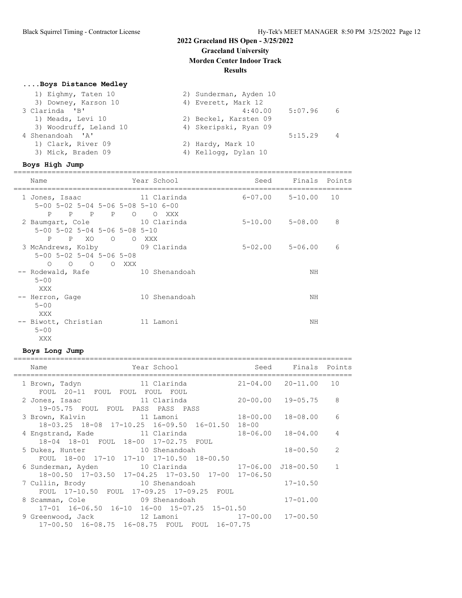## **....Boys Distance Medley**

| 1) Eighmy, Taten 10    | 2) Sunderman, Ayden 10    |  |
|------------------------|---------------------------|--|
| 3) Downey, Karson 10   | 4) Everett, Mark 12       |  |
| 3 Clarinda 'B'         | 5:07.96<br>4:40.00<br>- 6 |  |
| 1) Meads, Levi 10      | 2) Beckel, Karsten 09     |  |
| 3) Woodruff, Leland 10 | 4) Skeripski, Ryan 09     |  |
| 4 Shenandoah 'A'       | 5:15.29<br>4              |  |
| 1) Clark, River 09     | 2) Hardy, Mark 10         |  |
| 3) Mick, Braden 09     | 4) Kellogg, Dylan 10      |  |
|                        |                           |  |

### **Boys High Jump**

| Name                                                                                                                  | Year School          | Seed                    | Finals Points |    |
|-----------------------------------------------------------------------------------------------------------------------|----------------------|-------------------------|---------------|----|
| 1 Jones, Isaac<br>5-00 5-02 5-04 5-06 5-08 5-10 6-00<br>P P P P O                                                     | 11 Clarinda<br>O XXX | $6 - 07.00$ $5 - 10.00$ |               | 10 |
| 2 Baumgart, Cole 10 Clarinda<br>$5 - 00$ $5 - 02$ $5 - 04$ $5 - 06$ $5 - 08$ $5 - 10$<br>P<br>P XO<br>$\overline{O}$  | O XXX                | $5 - 10.00$ $5 - 08.00$ |               | 8  |
| 3 McAndrews, Kolby 09 Clarinda<br>$5 - 00$ $5 - 02$ $5 - 04$ $5 - 06$ $5 - 08$<br>$\circ$ $\circ$<br>$\circ$<br>O XXX |                      | $5 - 02.00$ $5 - 06.00$ |               | 6  |
| -- Rodewald, Rafe<br>$5 - 00$<br>XXX                                                                                  | 10 Shenandoah        |                         | NH            |    |
| -- Herron, Gage<br>$5 - 00$<br>XXX                                                                                    | 10 Shenandoah        |                         | NΗ            |    |
| -- Biwott, Christian<br>$5 - 00$<br>XXX                                                                               | 11 Lamoni            |                         | NΗ            |    |

## **Boys Long Jump**

| Year School and the School<br>Name                                                                                                             |          | Seed Finals Points        |               |
|------------------------------------------------------------------------------------------------------------------------------------------------|----------|---------------------------|---------------|
| 11 Clarinda <i>marq</i><br>1 Brown, Tadyn<br>FOUL 20-11 FOUL FOUL FOUL                                                                         |          | $21 - 04.00$ $20 - 11.00$ | 10            |
| FOUL<br>2 Jones, Isaac 11 Clarinda                                                                                                             |          | 20-00.00 19-05.75         | 8             |
| 19-05.75 FOUL FOUL PASS PASS PASS<br>11 Lamoni 18-00.00<br>3 Brown, Kalvin<br>18-03.25 18-08 17-10.25 16-09.50 16-01.50 18-00                  |          | 18-08.00                  | 6             |
| 4 Engstrand, Kade 11 Clarinda<br>18-04 18-01 FOUL 18-00 17-02.75 FOUL                                                                          | 18-06.00 | 18-04.00                  | 4             |
| 5 Dukes, Hunter 10 Shenandoah                                                                                                                  |          | 18-00.50                  | $\mathcal{P}$ |
| FOUL 18-00 17-10 17-10 17-10.50 18-00.50<br>6 Sunderman, Ayden 10 Clarinda 17-06.00 J18-00.50                                                  |          |                           | $\mathbf{1}$  |
| 18-00.50 17-03.50 17-04.25 17-03.50 17-00 17-06.50<br>7 Cullin, Brody 10 Shenandoah                                                            |          | $17 - 10.50$              |               |
| FOUL 17-10.50 FOUL 17-09.25 17-09.25 FOUL<br>8 Scamman, Cole 69 Shenandoah                                                                     |          | $17 - 01.00$              |               |
| 17-01 16-06.50 16-10 16-00 15-07.25 15-01.50<br>9 Greenwood, Jack 12 Lamoni 17-00.00 17-00.50<br>17-00.50 16-08.75 16-08.75 FOUL FOUL 16-07.75 |          |                           |               |
|                                                                                                                                                |          |                           |               |